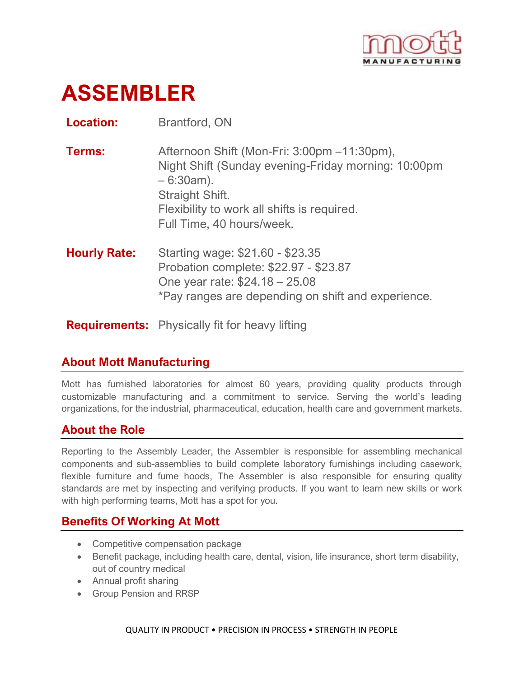

# **ASSEMBLER**

**Location:** Brantford, ON

- **Terms:** Afternoon Shift (Mon-Fri: 3:00pm –11:30pm), Night Shift (Sunday evening-Friday morning: 10:00pm – 6:30am). Straight Shift. Flexibility to work all shifts is required. Full Time, 40 hours/week.
- **Hourly Rate:** Starting wage: \$21.60 \$23.35 Probation complete: \$22.97 - \$23.87 One year rate: \$24.18 – 25.08 \*Pay ranges are depending on shift and experience.

**Requirements:** Physically fit for heavy lifting

# **About Mott Manufacturing**

Mott has furnished laboratories for almost 60 years, providing quality products through customizable manufacturing and a commitment to service. Serving the world's leading organizations, for the industrial, pharmaceutical, education, health care and government markets.

# **About the Role**

Reporting to the Assembly Leader, the Assembler is responsible for assembling mechanical components and sub-assemblies to build complete laboratory furnishings including casework, flexible furniture and fume hoods, The Assembler is also responsible for ensuring quality standards are met by inspecting and verifying products. If you want to learn new skills or work with high performing teams, Mott has a spot for you.

# **Benefits Of Working At Mott**

- Competitive compensation package
- Benefit package, including health care, dental, vision, life insurance, short term disability, out of country medical
- Annual profit sharing
- Group Pension and RRSP